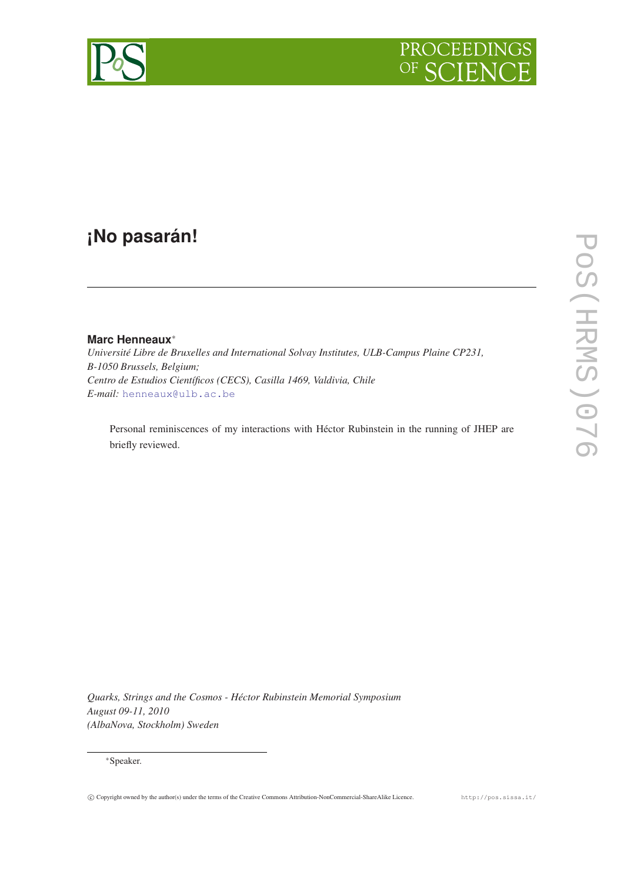

# **¡No pasarán!**

# **Marc Henneaux**<sup>∗</sup>

*Université Libre de Bruxelles and International Solvay Institutes, ULB-Campus Plaine CP231, B-1050 Brussels, Belgium; Centro de Estudios Científicos (CECS), Casilla 1469, Valdivia, Chile E-mail:* [henneaux@ulb.ac.be](mailto:henneaux@ulb.ac.be)

Personal reminiscences of my interactions with Héctor Rubinstein in the running of JHEP are briefly reviewed.

*Quarks, Strings and the Cosmos - Héctor Rubinstein Memorial Symposium August 09-11, 2010 (AlbaNova, Stockholm) Sweden*

# <sup>∗</sup>Speaker.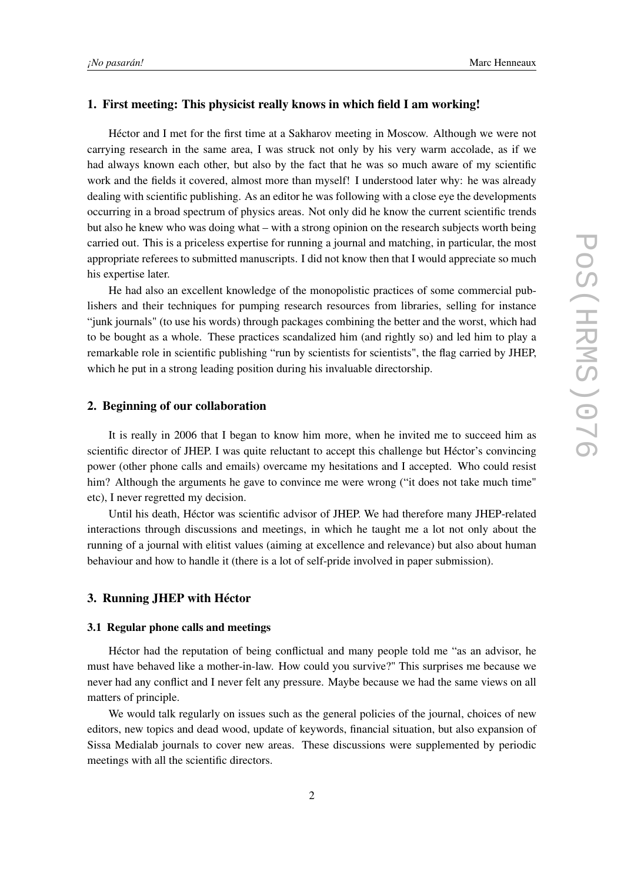#### 1. First meeting: This physicist really knows in which field I am working!

Héctor and I met for the first time at a Sakharov meeting in Moscow. Although we were not carrying research in the same area, I was struck not only by his very warm accolade, as if we had always known each other, but also by the fact that he was so much aware of my scientific work and the fields it covered, almost more than myself! I understood later why: he was already dealing with scientific publishing. As an editor he was following with a close eye the developments occurring in a broad spectrum of physics areas. Not only did he know the current scientific trends but also he knew who was doing what – with a strong opinion on the research subjects worth being carried out. This is a priceless expertise for running a journal and matching, in particular, the most appropriate referees to submitted manuscripts. I did not know then that I would appreciate so much his expertise later.

He had also an excellent knowledge of the monopolistic practices of some commercial publishers and their techniques for pumping research resources from libraries, selling for instance "junk journals" (to use his words) through packages combining the better and the worst, which had to be bought as a whole. These practices scandalized him (and rightly so) and led him to play a remarkable role in scientific publishing "run by scientists for scientists", the flag carried by JHEP, which he put in a strong leading position during his invaluable directorship.

# 2. Beginning of our collaboration

It is really in 2006 that I began to know him more, when he invited me to succeed him as scientific director of JHEP. I was quite reluctant to accept this challenge but Héctor's convincing power (other phone calls and emails) overcame my hesitations and I accepted. Who could resist him? Although the arguments he gave to convince me were wrong ("it does not take much time" etc), I never regretted my decision.

Until his death, Héctor was scientific advisor of JHEP. We had therefore many JHEP-related interactions through discussions and meetings, in which he taught me a lot not only about the running of a journal with elitist values (aiming at excellence and relevance) but also about human behaviour and how to handle it (there is a lot of self-pride involved in paper submission).

#### 3. Running JHEP with Héctor

# 3.1 Regular phone calls and meetings

Héctor had the reputation of being conflictual and many people told me "as an advisor, he must have behaved like a mother-in-law. How could you survive?" This surprises me because we never had any conflict and I never felt any pressure. Maybe because we had the same views on all matters of principle.

We would talk regularly on issues such as the general policies of the journal, choices of new editors, new topics and dead wood, update of keywords, financial situation, but also expansion of Sissa Medialab journals to cover new areas. These discussions were supplemented by periodic meetings with all the scientific directors.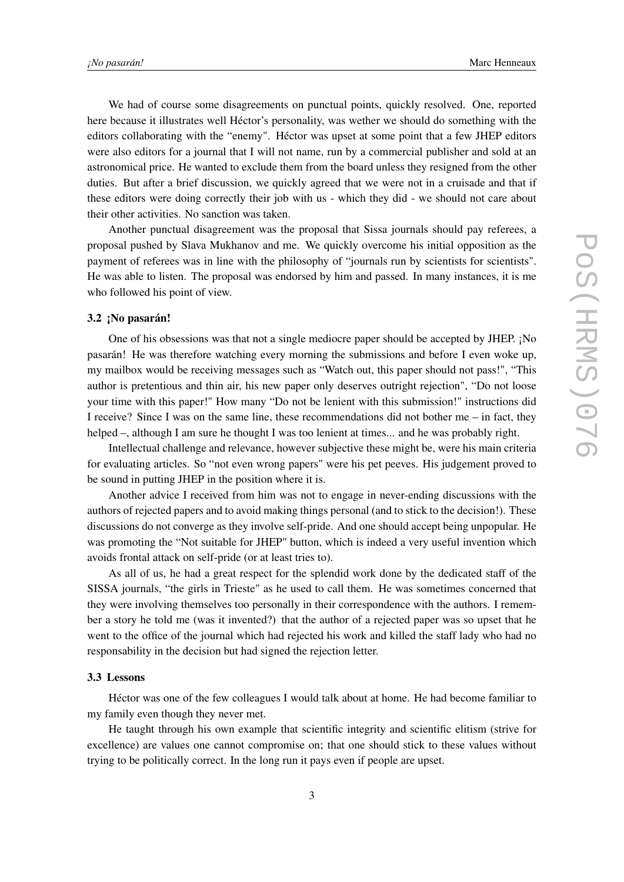We had of course some disagreements on punctual points, quickly resolved. One, reported here because it illustrates well Héctor's personality, was wether we should do something with the editors collaborating with the "enemy". Héctor was upset at some point that a few JHEP editors were also editors for a journal that I will not name, run by a commercial publisher and sold at an astronomical price. He wanted to exclude them from the board unless they resigned from the other duties. But after a brief discussion, we quickly agreed that we were not in a cruisade and that if these editors were doing correctly their job with us - which they did - we should not care about their other activities. No sanction was taken.

Another punctual disagreement was the proposal that Sissa journals should pay referees, a proposal pushed by Slava Mukhanov and me. We quickly overcome his initial opposition as the payment of referees was in line with the philosophy of "journals run by scientists for scientists". He was able to listen. The proposal was endorsed by him and passed. In many instances, it is me who followed his point of view.

# 3.2 ¡No pasarán!

One of his obsessions was that not a single mediocre paper should be accepted by JHEP. ¡No pasarán! He was therefore watching every morning the submissions and before I even woke up, my mailbox would be receiving messages such as "Watch out, this paper should not pass!", "This author is pretentious and thin air, his new paper only deserves outright rejection", "Do not loose your time with this paper!" How many "Do not be lenient with this submission!" instructions did I receive? Since I was on the same line, these recommendations did not bother me – in fact, they helped –, although I am sure he thought I was too lenient at times... and he was probably right.

Intellectual challenge and relevance, however subjective these might be, were his main criteria for evaluating articles. So "not even wrong papers" were his pet peeves. His judgement proved to be sound in putting JHEP in the position where it is.

Another advice I received from him was not to engage in never-ending discussions with the authors of rejected papers and to avoid making things personal (and to stick to the decision!). These discussions do not converge as they involve self-pride. And one should accept being unpopular. He was promoting the "Not suitable for JHEP" button, which is indeed a very useful invention which avoids frontal attack on self-pride (or at least tries to).

As all of us, he had a great respect for the splendid work done by the dedicated staff of the SISSA journals, "the girls in Trieste" as he used to call them. He was sometimes concerned that they were involving themselves too personally in their correspondence with the authors. I remember a story he told me (was it invented?) that the author of a rejected paper was so upset that he went to the office of the journal which had rejected his work and killed the staff lady who had no responsability in the decision but had signed the rejection letter.

# 3.3 Lessons

Héctor was one of the few colleagues I would talk about at home. He had become familiar to my family even though they never met.

He taught through his own example that scientific integrity and scientific elitism (strive for excellence) are values one cannot compromise on; that one should stick to these values without trying to be politically correct. In the long run it pays even if people are upset.